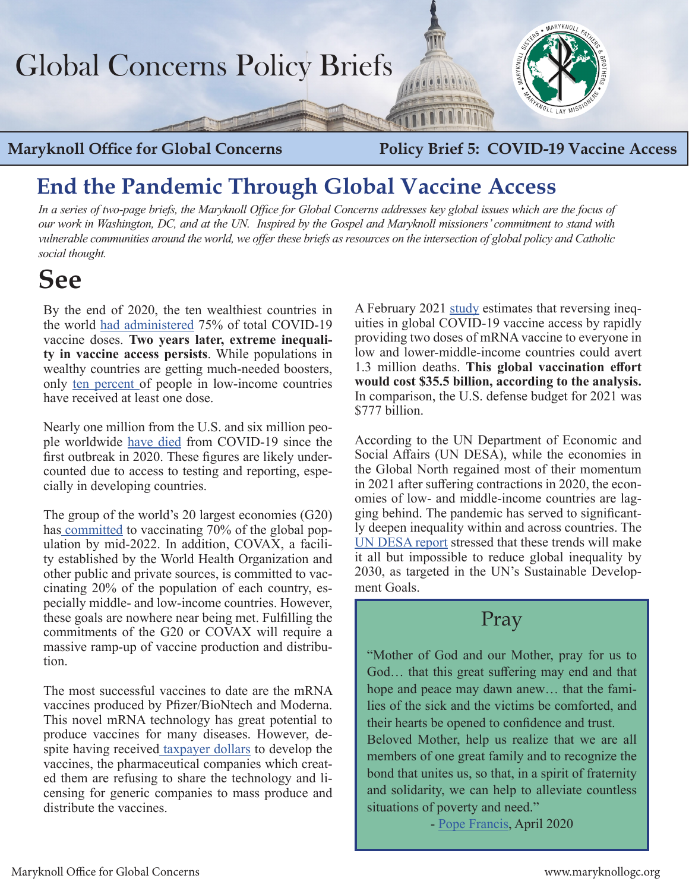

**Maryknoll Office for Global Concerns Policy Brief 5: COVID-19 Vaccine Access** 

## **End the Pandemic Through Global Vaccine Access**

*In a series of two-page briefs, the Maryknoll Office for Global Concerns addresses key global issues which are the focus of our work in Washington, DC, and at the UN. Inspired by the Gospel and Maryknoll missioners' commitment to stand with vulnerable communities around the world, we offer these briefs as resources on the intersection of global policy and Catholic social thought.* 

# **See**

By the end of 2020, the ten wealthiest countries in the world [had administered](https://www.un.org/press/en/2021/sc14438.doc.htm) 75% of total COVID-19 vaccine doses. **Two years later, extreme inequality in vaccine access persists**. While populations in wealthy countries are getting much-needed boosters, only [ten percent](https://ourworldindata.org/covid-vaccinations) of people in low-income countries have received at least one dose.

Nearly one million from the U.S. and six million people worldwide [have died](https://covid19.who.int/) from COVID-19 since the first outbreak in 2020. These figures are likely undercounted due to access to testing and reporting, especially in developing countries.

The group of the world's 20 largest economies (G20) has [committed](https://www.nytimes.com/live/2021/10/30/world/g20-summit-2021-biden) to vaccinating 70% of the global population by mid-2022. In addition, COVAX, a facility established by the World Health Organization and other public and private sources, is committed to vaccinating 20% of the population of each country, especially middle- and low-income countries. However, these goals are nowhere near being met. Fulfilling the commitments of the G20 or COVAX will require a massive ramp-up of vaccine production and distribution.

The most successful vaccines to date are the mRNA vaccines produced by Pfizer/BioNtech and Moderna. This novel mRNA technology has great potential to produce vaccines for many diseases. However, despite having received [taxpayer dollars](https://scitechdaily.com/why-moderna-wont-share-covid-19-vaccine-patent-rights-with-the-u-s-government-which-paid-for-its-development/) to develop the vaccines, the pharmaceutical companies which created them are refusing to share the technology and licensing for generic companies to mass produce and distribute the vaccines.

A February 2021 [study](https://www.washingtonpost.com/world/2022/02/10/coronavirus-vaccine-price-mrna/) estimates that reversing inequities in global COVID-19 vaccine access by rapidly providing two doses of mRNA vaccine to everyone in low and lower-middle-income countries could avert 1.3 million deaths. **This global vaccination effort would cost \$35.5 billion, according to the analysis.**  In comparison, the U.S. defense budget for 2021 was \$777 billion.

According to the UN Department of Economic and Social Affairs (UN DESA), while the economies in the Global North regained most of their momentum in 2021 after suffering contractions in 2020, the economies of low- and middle-income countries are lagging behind. The pandemic has served to significantly deepen inequality within and across countries. The [UN DESA report](https://www.un.org/en/desa/world-economic-situation-and-prospects-wesp-2022) stressed that these trends will make it all but impossible to reduce global inequality by 2030, as targeted in the UN's Sustainable Development Goals.

### Pray

"Mother of God and our Mother, pray for us to God… that this great suffering may end and that hope and peace may dawn anew… that the families of the sick and the victims be comforted, and their hearts be opened to confidence and trust.

Beloved Mother, help us realize that we are all members of one great family and to recognize the bond that unites us, so that, in a spirit of fraternity and solidarity, we can help to alleviate countless situations of poverty and need."

- [Pope Francis](https://elcatholics.org/documents/2020/4/Covid_19%20Prayers%20from%20Pope%20Francis.pdf), April 2020